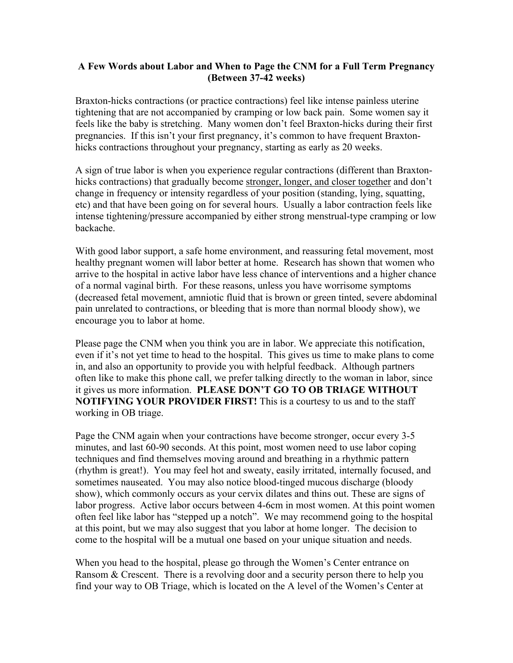## **A Few Words about Labor and When to Page the CNM for a Full Term Pregnancy (Between 37-42 weeks)**

Braxton-hicks contractions (or practice contractions) feel like intense painless uterine tightening that are not accompanied by cramping or low back pain. Some women say it feels like the baby is stretching. Many women don't feel Braxton-hicks during their first pregnancies. If this isn't your first pregnancy, it's common to have frequent Braxtonhicks contractions throughout your pregnancy, starting as early as 20 weeks.

A sign of true labor is when you experience regular contractions (different than Braxtonhicks contractions) that gradually become stronger, longer, and closer together and don't change in frequency or intensity regardless of your position (standing, lying, squatting, etc) and that have been going on for several hours. Usually a labor contraction feels like intense tightening/pressure accompanied by either strong menstrual-type cramping or low backache.

With good labor support, a safe home environment, and reassuring fetal movement, most healthy pregnant women will labor better at home. Research has shown that women who arrive to the hospital in active labor have less chance of interventions and a higher chance of a normal vaginal birth. For these reasons, unless you have worrisome symptoms (decreased fetal movement, amniotic fluid that is brown or green tinted, severe abdominal pain unrelated to contractions, or bleeding that is more than normal bloody show), we encourage you to labor at home.

Please page the CNM when you think you are in labor. We appreciate this notification, even if it's not yet time to head to the hospital. This gives us time to make plans to come in, and also an opportunity to provide you with helpful feedback. Although partners often like to make this phone call, we prefer talking directly to the woman in labor, since it gives us more information. **PLEASE DON'T GO TO OB TRIAGE WITHOUT NOTIFYING YOUR PROVIDER FIRST!** This is a courtesy to us and to the staff working in OB triage.

Page the CNM again when your contractions have become stronger, occur every 3-5 minutes, and last 60-90 seconds. At this point, most women need to use labor coping techniques and find themselves moving around and breathing in a rhythmic pattern (rhythm is great!). You may feel hot and sweaty, easily irritated, internally focused, and sometimes nauseated. You may also notice blood-tinged mucous discharge (bloody show), which commonly occurs as your cervix dilates and thins out. These are signs of labor progress. Active labor occurs between 4-6cm in most women. At this point women often feel like labor has "stepped up a notch". We may recommend going to the hospital at this point, but we may also suggest that you labor at home longer. The decision to come to the hospital will be a mutual one based on your unique situation and needs.

When you head to the hospital, please go through the Women's Center entrance on Ransom & Crescent. There is a revolving door and a security person there to help you find your way to OB Triage, which is located on the A level of the Women's Center at